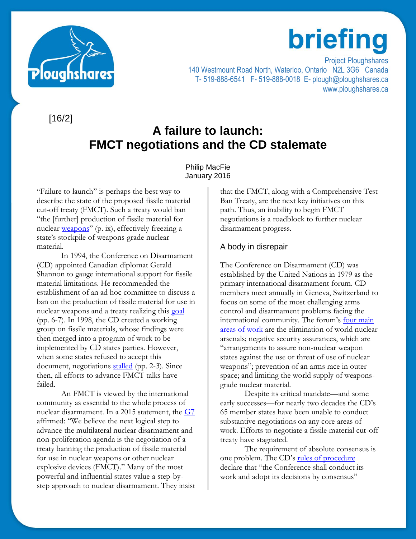

# briefing

Project Ploughshares 140 Westmount Road North, Waterloo, Ontario N2L 3G6 Canada T- 519-888-6541 F- 519-888-0018 E- plough@ploughshares.ca www.ploughshares.ca

[16/2]

# **A failure to launch: FMCT negotiations and the CD stalemate**

### Philip MacFie January 2016

"Failure to launch" is perhaps the best way to describe the state of the proposed fissile material cut-off treaty (FMCT). Such a treaty would ban "the [further] production of fissile material for nuclear [weapons](http://unidir.org/files/publications/pdfs/a-fissile-material-cut-off-treaty-understanding-the-critical-issues-139.pdf)" (p. ix), effectively freezing a state's stockpile of weapons-grade nuclear material.

In 1994, the Conference on Disarmament (CD) appointed Canadian diplomat Gerald Shannon to gauge international support for fissile material limitations. He recommended the establishment of an ad hoc committee to discuss a ban on the production of fissile material for use in nuclear weapons and a treaty realizing this [goal](http://www.unidir.org/files/publications/pdfs/understanding-disarmament-no-1-en-509.pdf) (pp. 6-7). In 1998, the CD created a working group on fissile materials, whose findings were then merged into a program of work to be implemented by CD states parties. However, when some states refused to accept this document, negotiations [stalled](http://unidir.org/files/publications/pdfs/the-conference-on-disarmament-issues-and-insights-395.pdf) (pp. 2-3). Since then, all efforts to advance FMCT talks have failed.

An FMCT is viewed by the international community as essential to the whole process of nuclear disarmament. In a 2015 statement, the [G7](http://www.international.gc.ca/g8/non-proliferation_disarmament-non-proliferation_desarmement.aspx?lang=eng) affirmed: "We believe the next logical step to advance the multilateral nuclear disarmament and non-proliferation agenda is the negotiation of a treaty banning the production of fissile material for use in nuclear weapons or other nuclear explosive devices (FMCT)." Many of the most powerful and influential states value a step-bystep approach to nuclear disarmament. They insist that the FMCT, along with a Comprehensive Test Ban Treaty, are the next key initiatives on this path. Thus, an inability to begin FMCT negotiations is a roadblock to further nuclear disarmament progress.

# A body in disrepair

The Conference on Disarmament (CD) was established by the United Nations in 1979 as the primary international disarmament forum. CD members meet annually in Geneva, Switzerland to focus on some of the most challenging arms control and disarmament problems facing the international community. The forum's [four main](http://www.unog.ch/80256EE600585943/(httpPages)/BF18ABFEFE5D344DC1256F3100311CE9?OpenDocument)  [areas of work](http://www.unog.ch/80256EE600585943/(httpPages)/BF18ABFEFE5D344DC1256F3100311CE9?OpenDocument) are the elimination of world nuclear arsenals; negative security assurances, which are "arrangements to assure non-nuclear weapon states against the use or threat of use of nuclear weapons"; prevention of an arms race in outer space; and limiting the world supply of weaponsgrade nuclear material.

Despite its critical mandate—and some early successes—for nearly two decades the CD's 65 member states have been unable to conduct substantive negotiations on any core areas of work. Efforts to negotiate a fissile material cut-off treaty have stagnated.

The requirement of absolute consensus is one problem. The CD's [rules of procedure](http://www.unog.ch/80256EDD006B8954/(httpAssets)/1F072EF4792B5587C12575DF003C845B/$file/RoP.pdf) declare that "the Conference shall conduct its work and adopt its decisions by consensus"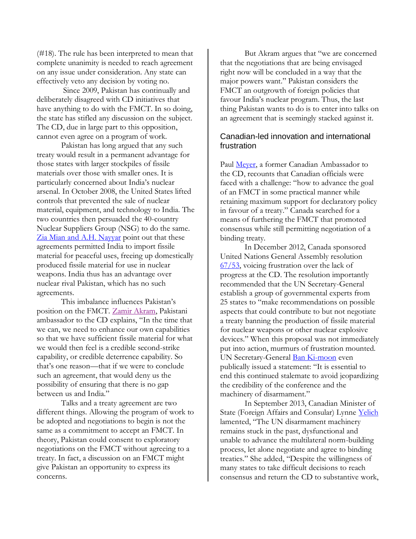(#18). The rule has been interpreted to mean that complete unanimity is needed to reach agreement on any issue under consideration. Any state can effectively veto any decision by voting no.

Since 2009, Pakistan has continually and deliberately disagreed with CD initiatives that have anything to do with the FMCT. In so doing, the state has stifled any discussion on the subject. The CD, due in large part to this opposition, cannot even agree on a program of work.

Pakistan has long argued that any such treaty would result in a permanent advantage for those states with larger stockpiles of fissile materials over those with smaller ones. It is particularly concerned about India's nuclear arsenal. In October 2008, the United States lifted controls that prevented the sale of nuclear material, equipment, and technology to India. The two countries then persuaded the 40-country Nuclear Suppliers Group (NSG) to do the same. [Zia Mian and A.H. Nayyar](https://www.armscontrol.org/act/2010_04/Mian) point out that these agreements permitted India to import fissile material for peaceful uses, freeing up domestically produced fissile material for use in nuclear weapons. India thus has an advantage over nuclear rival Pakistan, which has no such agreements.

This imbalance influences Pakistan's position on the FMCT. [Zamir Akram,](http://www.armscontrol.org/act/2011_12/Interview_With_Pakistani_Ambassador_to_the_CD_Zamir_Akram) Pakistani ambassador to the CD explains, "In the time that we can, we need to enhance our own capabilities so that we have sufficient fissile material for what we would then feel is a credible second-strike capability, or credible deterrence capability. So that's one reason—that if we were to conclude such an agreement, that would deny us the possibility of ensuring that there is no gap between us and India."

Talks and a treaty agreement are two different things. Allowing the program of work to be adopted and negotiations to begin is not the same as a commitment to accept an FMCT. In theory, Pakistan could consent to exploratory negotiations on the FMCT without agreeing to a treaty. In fact, a discussion on an FMCT might give Pakistan an opportunity to express its concerns.

But Akram argues that "we are concerned that the negotiations that are being envisaged right now will be concluded in a way that the major powers want." Pakistan considers the FMCT an outgrowth of foreign policies that favour India's nuclear program. Thus, the last thing Pakistan wants to do is to enter into talks on an agreement that is seemingly stacked against it.

## Canadian-led innovation and international frustration

Paul [Meyer,](https://www.opencanada.org/features/a-nuclear-agreement-in-need-of-canadian-leadership) a former Canadian Ambassador to the CD, recounts that Canadian officials were faced with a challenge: "how to advance the goal of an FMCT in some practical manner while retaining maximum support for declaratory policy in favour of a treaty." Canada searched for a means of furthering the FMCT that promoted consensus while still permitting negotiation of a binding treaty.

In December 2012, Canada sponsored United Nations General Assembly resolution [67/53,](http://www.un.org/en/ga/67/resolutions.shtml) voicing frustration over the lack of progress at the CD. The resolution importantly recommended that the UN Secretary-General establish a group of governmental experts from 25 states to "make recommendations on possible aspects that could contribute to but not negotiate a treaty banning the production of fissile material for nuclear weapons or other nuclear explosive devices." When this proposal was not immediately put into action, murmurs of frustration mounted. UN Secretary-General **Ban Ki-moon** even publically issued a statement: "It is essential to end this continued stalemate to avoid jeopardizing the credibility of the conference and the machinery of disarmament."

In September 2013, Canadian Minister of State (Foreign Affairs and Consular) Lynne [Yelich](http://www.canadainternational.gc.ca/prmny-mponu/canada_un-canada_onu/statements-declarations/peace-paix/2013-09-ND-Yelich.aspx?lang=eng) lamented, "The UN disarmament machinery remains stuck in the past, dysfunctional and unable to advance the multilateral norm-building process, let alone negotiate and agree to binding treaties." She added, "Despite the willingness of many states to take difficult decisions to reach consensus and return the CD to substantive work,